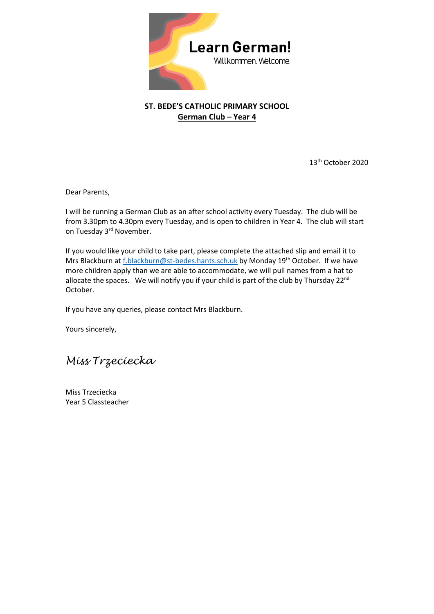

## **ST. BEDE'S CATHOLIC PRIMARY SCHOOL German Club – Year 4**

13th October 2020

Dear Parents,

I will be running a German Club as an after school activity every Tuesday. The club will be from 3.30pm to 4.30pm every Tuesday, and is open to children in Year 4. The club will start on Tuesday 3<sup>rd</sup> November.

If you would like your child to take part, please complete the attached slip and email it to Mrs Blackburn a[t f.blackburn@st-bedes.hants.sch.uk](mailto:f.blackburn@st-bedes.hants.sch.uk) by Monday 19<sup>th</sup> October. If we have more children apply than we are able to accommodate, we will pull names from a hat to allocate the spaces. We will notify you if your child is part of the club by Thursday  $22^{nd}$ October.

If you have any queries, please contact Mrs Blackburn.

Yours sincerely,

*Miss Trzeciecka*

Miss Trzeciecka Year 5 Classteacher